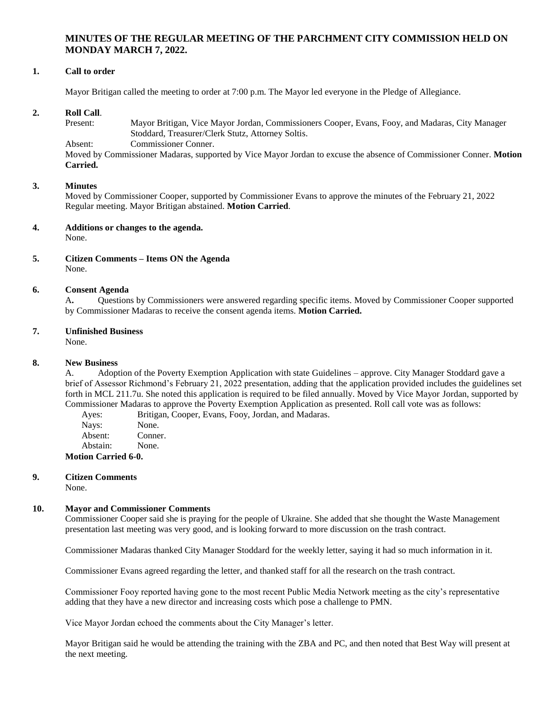# **MINUTES OF THE REGULAR MEETING OF THE PARCHMENT CITY COMMISSION HELD ON MONDAY MARCH 7, 2022.**

## **1. Call to order**

Mayor Britigan called the meeting to order at 7:00 p.m. The Mayor led everyone in the Pledge of Allegiance.

## **2. Roll Call**.

Present: Mayor Britigan, Vice Mayor Jordan, Commissioners Cooper, Evans, Fooy, and Madaras, City Manager Stoddard, Treasurer/Clerk Stutz, Attorney Soltis.

Absent: Commissioner Conner.

Moved by Commissioner Madaras, supported by Vice Mayor Jordan to excuse the absence of Commissioner Conner. **Motion Carried.**

#### **3. Minutes**

Moved by Commissioner Cooper, supported by Commissioner Evans to approve the minutes of the February 21, 2022 Regular meeting. Mayor Britigan abstained. **Motion Carried**.

### **4. Additions or changes to the agenda.**

None.

## **5. Citizen Comments – Items ON the Agenda** None.

## **6. Consent Agenda**

A**.** Questions by Commissioners were answered regarding specific items. Moved by Commissioner Cooper supported by Commissioner Madaras to receive the consent agenda items. **Motion Carried.**

### **7. Unfinished Business**

None.

#### **8. New Business**

A. Adoption of the Poverty Exemption Application with state Guidelines – approve. City Manager Stoddard gave a brief of Assessor Richmond's February 21, 2022 presentation, adding that the application provided includes the guidelines set forth in MCL 211.7u. She noted this application is required to be filed annually. Moved by Vice Mayor Jordan, supported by Commissioner Madaras to approve the Poverty Exemption Application as presented. Roll call vote was as follows:

Ayes: Britigan, Cooper, Evans, Fooy, Jordan, and Madaras. Nays: None. Absent: Conner.

Abstain: None.

**Motion Carried 6-0.**

#### **9. Citizen Comments** None.

#### **10. Mayor and Commissioner Comments**

Commissioner Cooper said she is praying for the people of Ukraine. She added that she thought the Waste Management presentation last meeting was very good, and is looking forward to more discussion on the trash contract.

Commissioner Madaras thanked City Manager Stoddard for the weekly letter, saying it had so much information in it.

Commissioner Evans agreed regarding the letter, and thanked staff for all the research on the trash contract.

Commissioner Fooy reported having gone to the most recent Public Media Network meeting as the city's representative adding that they have a new director and increasing costs which pose a challenge to PMN.

Vice Mayor Jordan echoed the comments about the City Manager's letter.

Mayor Britigan said he would be attending the training with the ZBA and PC, and then noted that Best Way will present at the next meeting.